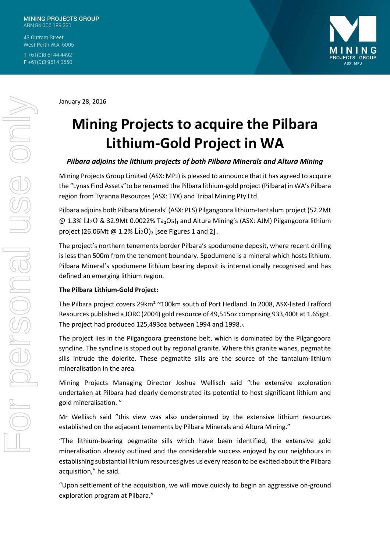43 Outram Street West Perth W.A. 6005

T+61(0)8 6144 4492 F+61(0)396140550



January 28, 2016

# **Mining Projects to acquire the Pilbara Lithium-Gold Project in WA**

## *Pilbara adjoins the lithium projects of both Pilbara Minerals and Altura Mining*

Mining Projects Group Limited (ASX: MPJ) is pleased to announce that it has agreed to acquire the "Lynas Find Assets"to be renamed the Pilbara lithium-gold project (Pilbara) in WA's Pilbara region from Tyranna Resources (ASX: TYX) and Tribal Mining Pty Ltd.

Pilbara adjoins both Pilbara Minerals' (ASX: PLS) Pilgangoora lithium-tantalum project (52.2Mt  $\omega$  1.3% Li<sub>2</sub>O & 32.9Mt 0.0022% Ta<sub>2</sub>O<sub>5</sub>)<sub>1</sub> and Altura Mining's (ASX: AJM) Pilgangoora lithium project (26.06Mt  $\omega$  1.2% Li<sub>2</sub>O)<sub>2</sub> [see Figures 1 and 2].

The project's northern tenements border Pilbara's spodumene deposit, where recent drilling is less than 500m from the tenement boundary. Spodumene is a mineral which hosts lithium. Pilbara Mineral's spodumene lithium bearing deposit is internationally recognised and has defined an emerging lithium region.

## **The Pilbara Lithium-Gold Project:**

The Pilbara project covers 29km<sup>2</sup> ~100km south of Port Hedland. In 2008, ASX-listed Trafford Resources published a JORC (2004) gold resource of 49,515oz comprising 933,400t at 1.65gpt. The project had produced 125,493oz between 1994 and 1998.<sub>3</sub>

The project lies in the Pilgangoora greenstone belt, which is dominated by the Pilgangoora syncline. The syncline is stoped out by regional granite. Where this granite wanes, pegmatite sills intrude the dolerite. These pegmatite sills are the source of the tantalum-lithium mineralisation in the area.

Mining Projects Managing Director Joshua Wellisch said "the extensive exploration undertaken at Pilbara had clearly demonstrated its potential to host significant lithium and gold mineralisation. "

Mr Wellisch said "this view was also underpinned by the extensive lithium resources established on the adjacent tenements by Pilbara Minerals and Altura Mining."

"The lithium-bearing pegmatite sills which have been identified, the extensive gold mineralisation already outlined and the considerable success enjoyed by our neighbours in establishing substantial lithium resources gives us every reason to be excited about the Pilbara acquisition," he said.

"Upon settlement of the acquisition, we will move quickly to begin an aggressive on-ground exploration program at Pilbara."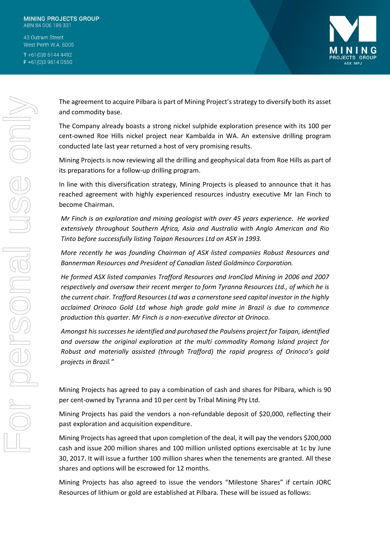43 Outram Street West Perth W.A. 6005 T+61(0)8 6144 4492 F+61(0)396140550



The agreement to acquire Pilbara is part of Mining Project's strategy to diversify both its asset and commodity base.

The Company already boasts a strong nickel sulphide exploration presence with its 100 per cent-owned Roe Hills nickel project near Kambalda in WA. An extensive drilling program conducted late last year returned a host of very promising results.

Mining Projects is now reviewing all the drilling and geophysical data from Roe Hills as part of its preparations for a follow-up drilling program.

In line with this diversification strategy, Mining Projects is pleased to announce that it has reached agreement with highly experienced resources industry executive Mr Ian Finch to become Chairman.

*Mr Finch is an exploration and mining geologist with over 45 years experience. He worked extensively throughout Southern Africa, Asia and Australia with Anglo American and Rio Tinto before successfully listing Taipan Resources Ltd on ASX in 1993.*

*More recently he was founding Chairman of ASX listed companies Robust Resources and Bannerman Resources and President of Canadian listed Goldminco Corporation.*

*He formed ASX listed companies Trafford Resources and IronClad Mining in 2006 and 2007 respectively and oversaw their recent merger to form Tyranna Resources Ltd., of which he is the current chair. Trafford Resources Ltd was a cornerstone seed capital investor in the highly acclaimed Orinoco Gold Ltd whose high grade gold mine in Brazil is due to commence production this quarter. Mr Finch is a non-executive director at Orinoco.*

*Amongst his successes he identified and purchased the Paulsens project for Taipan, identified and oversaw the original exploration at the multi commodity Romang Island project for Robust and materially assisted (through Trafford) the rapid progress of Orinoco's gold projects in Brazil."*

Mining Projects has agreed to pay a combination of cash and shares for Pilbara, which is 90 per cent-owned by Tyranna and 10 per cent by Tribal Mining Pty Ltd.

Mining Projects has paid the vendors a non-refundable deposit of \$20,000, reflecting their past exploration and acquisition expenditure.

Mining Projects has agreed that upon completion of the deal, it will pay the vendors \$200,000 cash and issue 200 million shares and 100 million unlisted options exercisable at 1c by June 30, 2017. It will issue a further 100 million shares when the tenements are granted. All these shares and options will be escrowed for 12 months.

Mining Projects has also agreed to issue the vendors "Milestone Shares" if certain JORC Resources of lithium or gold are established at Pilbara. These will be issued as follows: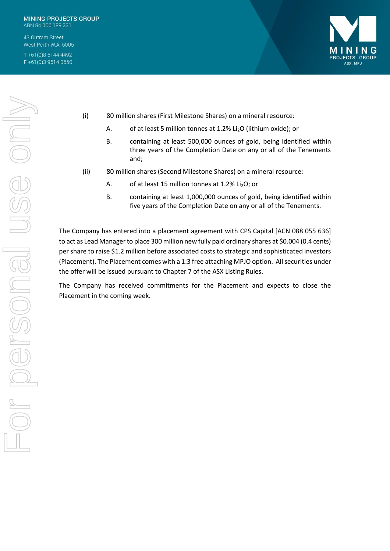43 Outram Street West Perth W.A. 6005

T+61(0)8 6144 4492 F+61(0)396140550



- (i) 80 million shares (First Milestone Shares) on a mineral resource:
	- A. of at least 5 million tonnes at 1.2% Li<sub>2</sub>O (lithium oxide); or
	- B. containing at least 500,000 ounces of gold, being identified within three years of the Completion Date on any or all of the Tenements and;
- (ii) 80 million shares (Second Milestone Shares) on a mineral resource:
	- A. of at least 15 million tonnes at 1.2% Li<sub>2</sub>O; or
	- B. containing at least 1,000,000 ounces of gold, being identified within five years of the Completion Date on any or all of the Tenements.

The Company has entered into a placement agreement with CPS Capital [ACN 088 055 636] to act as Lead Manager to place 300 million new fully paid ordinary shares at \$0.004 (0.4 cents) per share to raise \$1.2 million before associated costs to strategic and sophisticated investors (Placement). The Placement comes with a 1:3 free attaching MPJO option. All securities under the offer will be issued pursuant to Chapter 7 of the ASX Listing Rules.

The Company has received commitments for the Placement and expects to close the Placement in the coming week.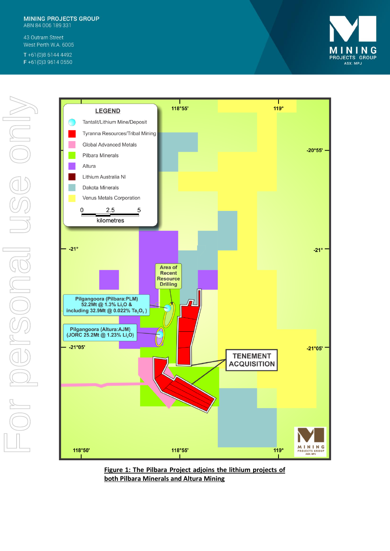43 Outram Street West Perth W.A. 6005

T+61(0)8 6144 4492 F+61(0)396140550





ш  $119°$ 118°55' Tantalit/Lithium Mine/Deposit Tyranna Resources/Tribal Mining **Global Advanced Metals**  $-20°55' -$ Lithium Australia NI Venus Metals Corporation 5 kilometres  $-21^{\circ}$ Area of **Recent Resource Drilling** Pilgangoora (Pilbara:PLM)<br>52.2Mt @ 1.3% Li<sub>2</sub>O & including 32.9Mt @ 0.022% Ta<sub>2</sub>O<sub>5</sub>) Pilgangoora (Altura:AJM)<br>(JORC 25.2Mt @ 1.23% Li<sub>2</sub>O)  $-21^{\circ}05'$ **TENEMENT ACQUISITION MINING**<br>PROJECTS GROUP 118°55'  $119°$ 

Figure 1: The Pilbara Project adjoins the lithium projects of both Pilbara Minerals and Altura Mining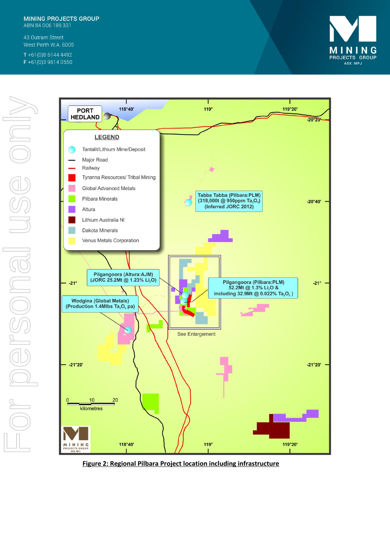43 Outram Street West Perth W.A. 6005

T+61(0)8 6144 4492 F+61(0)396140550





**Figure 2: Regional Pilbara Project location including infrastructure**